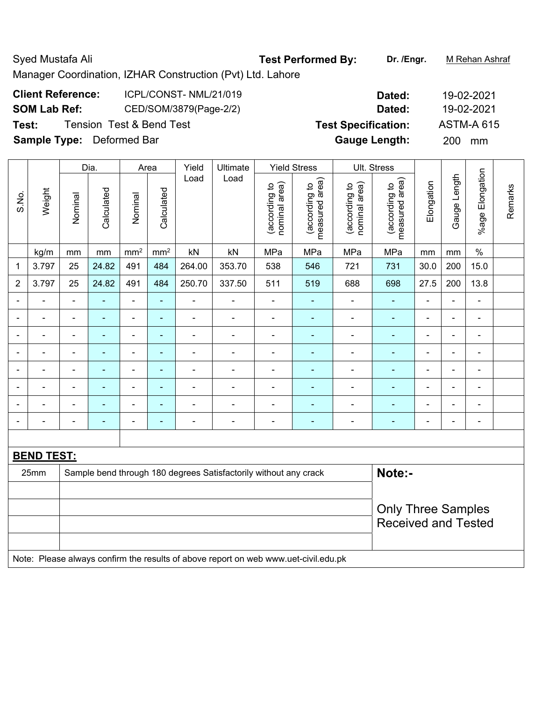# Syed Mustafa Ali **Test Performed By:** Dr. /Engr. M Rehan Ashraf

Manager Coordination, IZHAR Construction (Pvt) Ltd. Lahore

| <b>Client Reference:</b> | ICPL/CONST-NML/21/019  |
|--------------------------|------------------------|
| <b>SOM Lab Ref:</b>      | CED/SOM/3879(Page-2/2) |

**Sample Type:** Deformed Bar **Gauge Length:** 200 mm

|                          |                   |                | Dia.           |                          | Area            | Yield                        |                                                                                     | Ult. Stress                    |                                 |                                |                                 |                              |                |                          |         |
|--------------------------|-------------------|----------------|----------------|--------------------------|-----------------|------------------------------|-------------------------------------------------------------------------------------|--------------------------------|---------------------------------|--------------------------------|---------------------------------|------------------------------|----------------|--------------------------|---------|
| S.No.                    | Weight            | Nominal        | Calculated     | Nominal                  | Calculated      | Load                         | Load                                                                                | nominal area)<br>(according to | (according to<br>measured area) | nominal area)<br>(according to | (according to<br>measured area) | Elongation                   | Gauge Length   | Elongation<br>$%$ age    | Remarks |
|                          | kg/m              | mm             | mm             | mm <sup>2</sup>          | mm <sup>2</sup> | kN                           | kN                                                                                  | MPa                            | MPa                             | MPa                            | MPa                             | mm                           | mm             | $\%$                     |         |
| 1                        | 3.797             | 25             | 24.82          | 491                      | 484             | 264.00                       | 353.70                                                                              | 538                            | 546                             | 721                            | 731                             | 30.0                         | 200            | 15.0                     |         |
| $\overline{2}$           | 3.797             | 25             | 24.82          | 491                      | 484             | 250.70                       | 337.50                                                                              | 511                            | 519                             | 688                            | 698                             | 27.5                         | 200            | 13.8                     |         |
| $\overline{\phantom{a}}$ | $\blacksquare$    | $\blacksquare$ | ÷,             | $\overline{\phantom{0}}$ | $\blacksquare$  | $\qquad \qquad \blacksquare$ | $\qquad \qquad \blacksquare$                                                        | $\blacksquare$                 | $\blacksquare$                  | $\blacksquare$                 | $\blacksquare$                  | $\qquad \qquad \blacksquare$ | $\blacksquare$ | $\blacksquare$           |         |
|                          |                   | $\blacksquare$ | $\blacksquare$ | $\overline{\phantom{0}}$ | ÷               | ÷,                           | $\overline{\phantom{a}}$                                                            | $\blacksquare$                 | $\blacksquare$                  | ÷,                             | $\blacksquare$                  | $\blacksquare$               | $\blacksquare$ | $\blacksquare$           |         |
| ÷                        | $\blacksquare$    | $\blacksquare$ | ٠              | ۰                        | ٠               | $\overline{\phantom{a}}$     | $\blacksquare$                                                                      | $\blacksquare$                 | $\blacksquare$                  | ÷                              | ۰                               | $\blacksquare$               | $\blacksquare$ | $\overline{\phantom{a}}$ |         |
|                          |                   | $\blacksquare$ | ÷,             | $\overline{\phantom{0}}$ | ۰               | $\overline{\phantom{a}}$     | $\blacksquare$                                                                      | $\blacksquare$                 | ÷                               | ÷                              | ä,                              | $\blacksquare$               | ä,             | $\blacksquare$           |         |
|                          |                   |                |                | $\blacksquare$           | $\blacksquare$  | ۰                            |                                                                                     | $\blacksquare$                 | ۰                               | ۰                              | ÷,                              | $\overline{\phantom{0}}$     |                | $\blacksquare$           |         |
| $\blacksquare$           |                   | $\blacksquare$ | $\blacksquare$ | ÷                        | $\blacksquare$  | ä,                           |                                                                                     | $\blacksquare$                 | $\blacksquare$                  |                                | ä,                              | $\blacksquare$               |                | $\blacksquare$           |         |
|                          |                   | $\blacksquare$ | ÷,             | ÷                        | ÷               | ۰                            | $\blacksquare$                                                                      | $\overline{a}$                 | ۰                               | ÷                              | ۰                               |                              | $\blacksquare$ | $\overline{\phantom{a}}$ |         |
| $\blacksquare$           |                   | $\blacksquare$ | ۰              | $\overline{a}$           | ۰               | $\blacksquare$               | $\blacksquare$                                                                      | $\overline{a}$                 | ۰                               | ۰                              | ۰                               | $\overline{\phantom{0}}$     | $\blacksquare$ | $\overline{a}$           |         |
|                          |                   |                |                |                          |                 |                              |                                                                                     |                                |                                 |                                |                                 |                              |                |                          |         |
|                          | <b>BEND TEST:</b> |                |                |                          |                 |                              |                                                                                     |                                |                                 |                                |                                 |                              |                |                          |         |
|                          | 25mm              |                |                |                          |                 |                              | Sample bend through 180 degrees Satisfactorily without any crack                    |                                |                                 |                                | Note:-                          |                              |                |                          |         |
|                          |                   |                |                |                          |                 |                              |                                                                                     |                                |                                 |                                |                                 |                              |                |                          |         |
|                          |                   |                |                |                          |                 |                              |                                                                                     |                                |                                 |                                | <b>Only Three Samples</b>       |                              |                |                          |         |
|                          |                   |                |                |                          |                 |                              |                                                                                     |                                |                                 |                                | <b>Received and Tested</b>      |                              |                |                          |         |
|                          |                   |                |                |                          |                 |                              |                                                                                     |                                |                                 |                                |                                 |                              |                |                          |         |
|                          |                   |                |                |                          |                 |                              | Note: Please always confirm the results of above report on web www.uet-civil.edu.pk |                                |                                 |                                |                                 |                              |                |                          |         |

**Dated: 19-02-2021 SOM Lab Ref:** CED/SOM/3879(Page-2/2) **Dated:** 19-02-2021 **Test:** Tension Test & Bend Test **Test Specification:** ASTM-A 615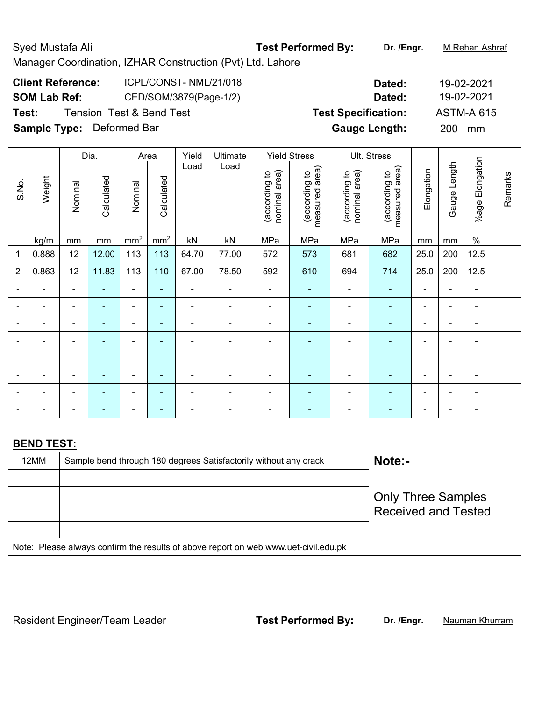Manager Coordination, IZHAR Construction (Pvt) Ltd. Lahore

| <b>Client Reference:</b> | ICPL/CONST-NML/21/018  | Dated:        | 19-02-2021 |
|--------------------------|------------------------|---------------|------------|
| <b>SOM Lab Ref:</b>      | CED/SOM/3879(Page-1/2) | <b>Dated:</b> | 19-02-2021 |

**Test:** Tension Test & Bend Test **Test Specification:** ASTM-A 615

**SOM Lab Ref:** CED/SOM/3879(Page-1/2) **Dated:** 19-02-2021 **Sample Type:** Deformed Bar **Gauge Length:** 200 mm

|        |                          |                   |                          |                 | Yield                    | Ultimate                 |                                |                                 |                                                                                         |                                 |                |                |                |                                                                            |
|--------|--------------------------|-------------------|--------------------------|-----------------|--------------------------|--------------------------|--------------------------------|---------------------------------|-----------------------------------------------------------------------------------------|---------------------------------|----------------|----------------|----------------|----------------------------------------------------------------------------|
| Weight | Nominal                  | Calculated        | Nominal                  | Calculated      |                          |                          | nominal area)<br>(according to | measured area)<br>(according to | nominal area)<br>(according to                                                          | measured area)<br>(according to | Elongation     |                |                | Remarks                                                                    |
| kg/m   | mm                       | $\,mm$            | mm <sup>2</sup>          | mm <sup>2</sup> | kN                       | kN                       | MPa                            | MPa                             | MPa                                                                                     | MPa                             | mm             | mm             | $\%$           |                                                                            |
| 0.888  | 12                       | 12.00             | 113                      | 113             | 64.70                    | 77.00                    | 572                            | 573                             | 681                                                                                     | 682                             | 25.0           | 200            | 12.5           |                                                                            |
| 0.863  | 12                       | 11.83             | 113                      | 110             | 67.00                    | 78.50                    | 592                            | 610                             | 694                                                                                     | 714                             | 25.0           | 200            | 12.5           |                                                                            |
|        | $\blacksquare$           |                   | ä,                       | ۰               | ÷                        | $\overline{a}$           | $\blacksquare$                 | $\overline{\phantom{0}}$        | ÷                                                                                       | $\blacksquare$                  | -              |                | $\blacksquare$ |                                                                            |
| ٠      | $\overline{\phantom{a}}$ | $\blacksquare$    | $\overline{\phantom{a}}$ | ٠               | $\overline{\phantom{a}}$ | $\overline{\phantom{a}}$ | $\overline{\phantom{a}}$       | $\overline{\phantom{a}}$        | $\blacksquare$                                                                          | $\blacksquare$                  | $\blacksquare$ | $\blacksquare$ | $\blacksquare$ |                                                                            |
|        | $\blacksquare$           | $\blacksquare$    | $\overline{\phantom{a}}$ | ÷               | $\frac{1}{2}$            | $\overline{\phantom{a}}$ | $\blacksquare$                 | $\blacksquare$                  | $\blacksquare$                                                                          | $\blacksquare$                  | Ē,             | $\blacksquare$ | $\blacksquare$ |                                                                            |
|        | $\blacksquare$           | ÷                 | ä,                       | ۰               | $\blacksquare$           | $\blacksquare$           | $\blacksquare$                 | $\blacksquare$                  | -                                                                                       | $\blacksquare$                  | L,             |                | ä,             |                                                                            |
|        | $\blacksquare$           |                   | -                        | ۰               | $\overline{a}$           | $\blacksquare$           | $\overline{\phantom{0}}$       | $\blacksquare$                  |                                                                                         | ۰                               | $\blacksquare$ |                | $\blacksquare$ |                                                                            |
|        | $\blacksquare$           | $\blacksquare$    | $\blacksquare$           | ä,              | ä,                       | $\blacksquare$           | $\blacksquare$                 | $\blacksquare$                  | ä,                                                                                      | ٠                               | $\blacksquare$ | $\overline{a}$ | $\blacksquare$ |                                                                            |
|        | $\blacksquare$           | $\blacksquare$    | $\overline{\phantom{a}}$ | ÷               | $\blacksquare$           | $\overline{\phantom{a}}$ | $\blacksquare$                 | $\blacksquare$                  | ä,                                                                                      | $\blacksquare$                  | ä,             | ÷,             | $\blacksquare$ |                                                                            |
|        | $\blacksquare$           | $\blacksquare$    | ÷                        | ÷               | ÷                        | $\overline{\phantom{a}}$ | $\blacksquare$                 | $\blacksquare$                  | -                                                                                       | $\blacksquare$                  | ä,             | $\blacksquare$ | $\blacksquare$ |                                                                            |
|        |                          |                   |                          |                 |                          |                          |                                |                                 |                                                                                         |                                 |                |                |                |                                                                            |
|        |                          |                   |                          |                 |                          |                          |                                |                                 |                                                                                         |                                 |                |                |                |                                                                            |
|        |                          |                   |                          |                 |                          |                          |                                |                                 |                                                                                         |                                 |                |                |                |                                                                            |
|        |                          |                   |                          |                 |                          |                          |                                |                                 |                                                                                         |                                 |                |                |                |                                                                            |
|        |                          |                   |                          |                 |                          |                          |                                |                                 |                                                                                         |                                 |                |                |                |                                                                            |
|        |                          |                   |                          |                 |                          |                          |                                |                                 |                                                                                         |                                 |                |                |                |                                                                            |
|        |                          |                   |                          |                 |                          |                          |                                |                                 |                                                                                         |                                 |                |                |                |                                                                            |
|        | 12MM                     | <b>BEND TEST:</b> | Dia.                     |                 | Area                     | Load                     | Load                           |                                 | <b>Yield Stress</b><br>Sample bend through 180 degrees Satisfactorily without any crack |                                 | Ult. Stress    | Note:-         | Gauge Length   | %age Elongation<br><b>Only Three Samples</b><br><b>Received and Tested</b> |

Note: Please always confirm the results of above report on web www.uet-civil.edu.pk

Resident Engineer/Team Leader **Test Performed By:** Dr. /Engr. **Nauman Khurram**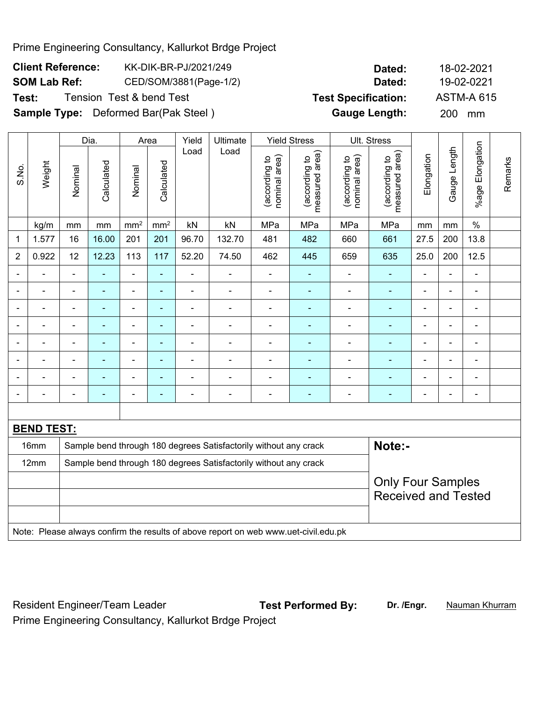Prime Engineering Consultancy, Kallurkot Brdge Project

| <b>Client Reference:</b> | KK-DIK-BR-PJ/2021/249    | Dated:              | 18-02-2021  |
|--------------------------|--------------------------|---------------------|-------------|
| SOM Lab Ref:             | CED/SOM/3881(Page-1/2)   | Dated:              | 19-02-0221  |
| T. . 1.                  | Topoion Toot 0 bond Toot | Taal Caaalflaallaac | ACTMA A CAE |

| <b>SOM Lab Ref:</b> | CED/SOM/3881(Page-1/2)                      | Dated:                     | 19-02-0221        |
|---------------------|---------------------------------------------|----------------------------|-------------------|
| Test:               | Tension Test & bend Test                    | <b>Test Specification:</b> | <b>ASTM-A 615</b> |
|                     | <b>Sample Type:</b> Deformed Bar(Pak Steel) | <b>Gauge Length:</b>       | 200 mm            |

|                              |                   |                            | Dia.           | Yield<br>Ultimate<br><b>Yield Stress</b><br>Ult. Stress<br>Area |                          |                |                                                                                     |                                |                                 |                                |                                 |                |                          |                       |         |
|------------------------------|-------------------|----------------------------|----------------|-----------------------------------------------------------------|--------------------------|----------------|-------------------------------------------------------------------------------------|--------------------------------|---------------------------------|--------------------------------|---------------------------------|----------------|--------------------------|-----------------------|---------|
| S.No.                        | Weight            | Nominal                    | Calculated     | Nominal                                                         | Calculated               | Load           | Load                                                                                | nominal area)<br>(according to | measured area)<br>(according to | (according to<br>nominal area) | (according to<br>measured area) | Elongation     | Gauge Length             | Elongation<br>$%$ age | Remarks |
|                              | kg/m              | mm                         | mm             | mm <sup>2</sup>                                                 | mm <sup>2</sup>          | kN             | kN                                                                                  | MPa                            | MPa                             | MPa                            | MPa                             | mm             | mm                       | $\%$                  |         |
| 1                            | 1.577             | 16                         | 16.00          | 201                                                             | 201                      | 96.70          | 132.70                                                                              | 481                            | 482                             | 660                            | 661                             | 27.5           | 200                      | 13.8                  |         |
| $\overline{2}$               | 0.922             | 12                         | 12.23          | 113                                                             | 117                      | 52.20          | 74.50                                                                               | 462                            | 445                             | 659                            | 635                             | 25.0           | 200                      | 12.5                  |         |
|                              |                   | $\blacksquare$             |                | $\blacksquare$                                                  | ۰                        |                |                                                                                     | $\blacksquare$                 |                                 |                                |                                 |                |                          | $\blacksquare$        |         |
|                              |                   | $\blacksquare$             |                | $\blacksquare$                                                  | ä,                       | $\blacksquare$ | $\blacksquare$                                                                      | $\blacksquare$                 | $\blacksquare$                  | $\blacksquare$                 | $\blacksquare$                  | $\blacksquare$ |                          | $\blacksquare$        |         |
| $\qquad \qquad \blacksquare$ | $\blacksquare$    | $\blacksquare$             | $\blacksquare$ | $\blacksquare$                                                  | ÷,                       | ä,             | $\blacksquare$                                                                      | $\blacksquare$                 | $\blacksquare$                  | ä,                             | $\blacksquare$                  | $\blacksquare$ | $\blacksquare$           | $\blacksquare$        |         |
| $\blacksquare$               |                   | $\blacksquare$             | $\blacksquare$ | $\blacksquare$                                                  | $\blacksquare$           | $\blacksquare$ | $\blacksquare$                                                                      | $\blacksquare$                 | $\blacksquare$                  | ÷                              |                                 | ä,             | $\overline{\phantom{0}}$ | $\blacksquare$        |         |
|                              |                   | $\blacksquare$             | $\blacksquare$ | ä,                                                              | ä,                       | $\blacksquare$ | $\blacksquare$                                                                      | ä,                             | ٠                               | $\blacksquare$                 | $\blacksquare$                  | $\blacksquare$ |                          | $\blacksquare$        |         |
| ٠                            |                   | $\blacksquare$             |                | Ē,                                                              |                          |                | Ē,                                                                                  |                                | $\blacksquare$                  |                                |                                 |                |                          | ÷                     |         |
|                              |                   | $\blacksquare$             | $\blacksquare$ | ÷                                                               | $\overline{\phantom{0}}$ | $\blacksquare$ | $\overline{\phantom{a}}$                                                            | -                              | ۰                               | $\blacksquare$                 | $\overline{\phantom{0}}$        | $\blacksquare$ |                          | $\overline{a}$        |         |
| ۰                            |                   | $\overline{a}$             |                | ٠                                                               | $\overline{\phantom{0}}$ | $\blacksquare$ | $\overline{\phantom{0}}$                                                            | $\overline{a}$                 | ۰                               | $\blacksquare$                 | $\overline{\phantom{0}}$        | $\blacksquare$ | $\overline{\phantom{0}}$ | ÷                     |         |
|                              |                   |                            |                |                                                                 |                          |                |                                                                                     |                                |                                 |                                |                                 |                |                          |                       |         |
|                              | <b>BEND TEST:</b> |                            |                |                                                                 |                          |                |                                                                                     |                                |                                 |                                |                                 |                |                          |                       |         |
|                              | 16mm              |                            |                |                                                                 |                          |                | Sample bend through 180 degrees Satisfactorily without any crack                    |                                |                                 |                                | Note:-                          |                |                          |                       |         |
|                              | 12mm              |                            |                |                                                                 |                          |                | Sample bend through 180 degrees Satisfactorily without any crack                    |                                |                                 |                                |                                 |                |                          |                       |         |
|                              |                   |                            |                |                                                                 |                          |                |                                                                                     |                                |                                 |                                | <b>Only Four Samples</b>        |                |                          |                       |         |
|                              |                   | <b>Received and Tested</b> |                |                                                                 |                          |                |                                                                                     |                                |                                 |                                |                                 |                |                          |                       |         |
|                              |                   |                            |                |                                                                 |                          |                |                                                                                     |                                |                                 |                                |                                 |                |                          |                       |         |
|                              |                   |                            |                |                                                                 |                          |                | Note: Please always confirm the results of above report on web www.uet-civil.edu.pk |                                |                                 |                                |                                 |                |                          |                       |         |

Resident Engineer/Team Leader **Test Performed By:** Dr. /Engr. **Nauman Khurram** 

Prime Engineering Consultancy, Kallurkot Brdge Project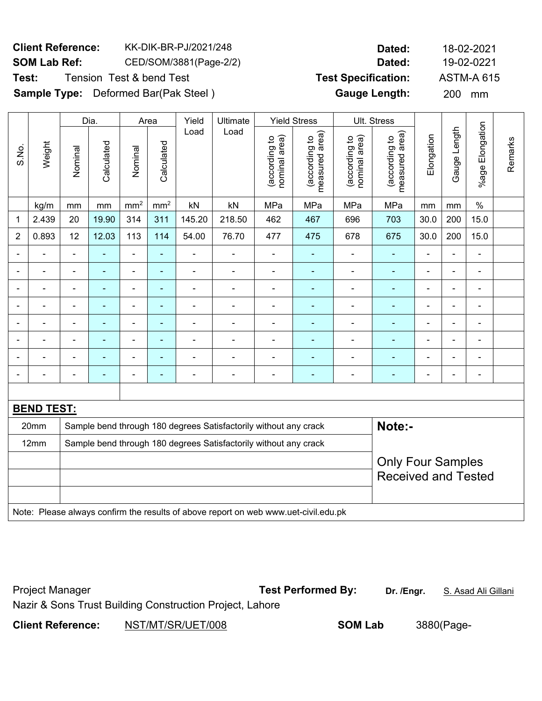# **Client Reference:** KK-DIK-BR-PJ/2021/248 **Dated:** 18-02-2021 **SOM Lab Ref:** CED/SOM/3881(Page-2/2) **Dated:** 19-02-0221

**Test:** Tension Test & bend Test **Test Specification:** ASTM-A 615

**Sample Type:** Deformed Bar(Pak Steel ) **Gauge Length:** 200 mm

|                  |                   |                          | Dia.                                                             |                 | Area           | Yield          | Ultimate                                                                            |                                | <b>Yield Stress</b>             |                                | Ult. Stress                     |                |                |                              |         |
|------------------|-------------------|--------------------------|------------------------------------------------------------------|-----------------|----------------|----------------|-------------------------------------------------------------------------------------|--------------------------------|---------------------------------|--------------------------------|---------------------------------|----------------|----------------|------------------------------|---------|
| S.No.            | Weight            | Nominal                  | Calculated                                                       | Nominal         | Calculated     | Load           | Load                                                                                | nominal area)<br>(according to | (according to<br>measured area) | nominal area)<br>(according to | (according to<br>measured area) | Elongation     | Gauge Length   | Elongation<br>%age I         | Remarks |
|                  | kg/m              | mm                       | mm                                                               | mm <sup>2</sup> | $\rm mm^2$     | kN             | kN                                                                                  | MPa                            | MPa                             | MPa                            | MPa                             | mm             | mm             | $\%$                         |         |
| $\mathbf{1}$     | 2.439             | 20                       | 19.90                                                            | 314             | 311            | 145.20         | 218.50                                                                              | 462                            | 467                             | 696                            | 703                             | 30.0           | 200            | 15.0                         |         |
| $\boldsymbol{2}$ | 0.893             | 12                       | 12.03                                                            | 113             | 114            | 54.00          | 76.70                                                                               | 477                            | 475                             | 678                            | 675                             | 30.0           | 200            | 15.0                         |         |
| $\blacksquare$   |                   | $\blacksquare$           | $\blacksquare$                                                   | $\blacksquare$  | $\blacksquare$ | $\blacksquare$ | $\blacksquare$                                                                      | $\blacksquare$                 | ÷                               | $\blacksquare$                 | $\blacksquare$                  | $\blacksquare$ | $\blacksquare$ | ÷,                           |         |
|                  |                   | $\blacksquare$           | $\blacksquare$                                                   | $\frac{1}{2}$   | $\blacksquare$ | $\blacksquare$ | $\blacksquare$                                                                      | $\blacksquare$                 | ÷                               | ÷,                             | ä,                              | $\blacksquare$ | $\blacksquare$ | ÷,                           |         |
|                  |                   | ä,                       | $\blacksquare$                                                   | $\blacksquare$  | $\blacksquare$ | $\blacksquare$ | $\blacksquare$                                                                      | $\blacksquare$                 | ÷                               | ÷,                             | $\blacksquare$                  | $\blacksquare$ | ä,             | ÷,                           |         |
|                  |                   |                          | ٠                                                                |                 |                | ٠              | L,                                                                                  |                                | ۰                               |                                | $\blacksquare$                  |                | ÷              | ۰                            |         |
|                  |                   |                          |                                                                  | ä,              | ä,             | Ē,             | L,                                                                                  | $\blacksquare$                 | ۰                               |                                | $\blacksquare$                  |                | ä,             | $\blacksquare$               |         |
|                  | $\blacksquare$    | $\overline{\phantom{0}}$ | ٠                                                                | $\blacksquare$  | ٠              | $\blacksquare$ | $\blacksquare$                                                                      | $\blacksquare$                 | $\overline{\phantom{0}}$        | $\blacksquare$                 | $\overline{\phantom{0}}$        | $\blacksquare$ |                | $\qquad \qquad \blacksquare$ |         |
|                  |                   | $\blacksquare$           |                                                                  | $\blacksquare$  | ۰              | ٠              | ä,                                                                                  | $\blacksquare$                 | ۰                               | $\blacksquare$                 | $\overline{\phantom{0}}$        | $\blacksquare$ | ä,             | $\overline{\phantom{a}}$     |         |
|                  |                   | $\blacksquare$           | ٠                                                                | ä,              | ۰              | Ē,             | $\blacksquare$                                                                      | $\blacksquare$                 | ٠                               | $\blacksquare$                 | $\overline{\phantom{0}}$        | $\blacksquare$ | ä,             | $\blacksquare$               |         |
|                  |                   |                          |                                                                  |                 |                |                |                                                                                     |                                |                                 |                                |                                 |                |                |                              |         |
|                  | <b>BEND TEST:</b> |                          |                                                                  |                 |                |                |                                                                                     |                                |                                 |                                |                                 |                |                |                              |         |
|                  | 20mm              |                          |                                                                  |                 |                |                | Sample bend through 180 degrees Satisfactorily without any crack                    |                                |                                 |                                | Note:-                          |                |                |                              |         |
|                  | 12mm              |                          | Sample bend through 180 degrees Satisfactorily without any crack |                 |                |                |                                                                                     |                                |                                 |                                |                                 |                |                |                              |         |
|                  |                   |                          |                                                                  |                 |                |                |                                                                                     |                                |                                 |                                | <b>Only Four Samples</b>        |                |                |                              |         |
|                  |                   |                          |                                                                  |                 |                |                |                                                                                     |                                |                                 |                                | <b>Received and Tested</b>      |                |                |                              |         |
|                  |                   |                          |                                                                  |                 |                |                |                                                                                     |                                |                                 |                                |                                 |                |                |                              |         |
|                  |                   |                          |                                                                  |                 |                |                | Note: Please always confirm the results of above report on web www.uet-civil.edu.pk |                                |                                 |                                |                                 |                |                |                              |         |

| <b>Project Manager</b>   |                                                          | <b>Test Performed By:</b> | Dr. /Engr. | S. Asad Ali Gillani |
|--------------------------|----------------------------------------------------------|---------------------------|------------|---------------------|
|                          | Nazir & Sons Trust Building Construction Project, Lahore |                           |            |                     |
| <b>Client Reference:</b> | NST/MT/SR/UET/008                                        | <b>SOM Lab</b>            |            | 3880(Page-          |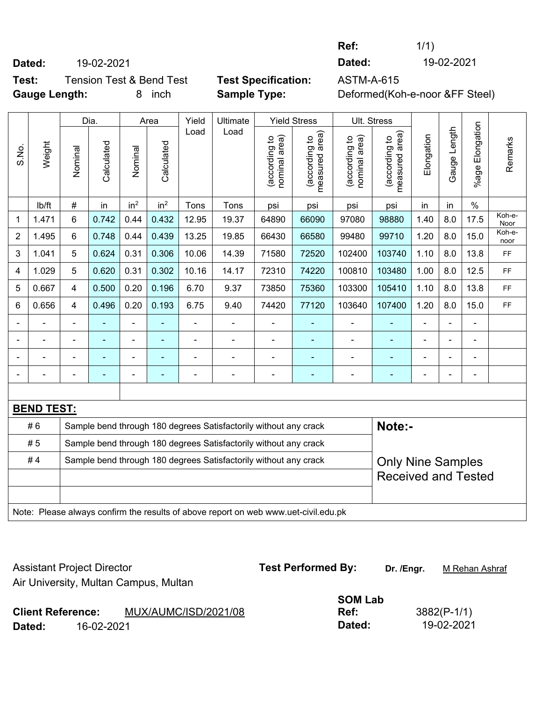**Dated:** 19-02-2021 **Dated:** 19-02-2021

**Ref:** 1/1)

**Test:** Tension Test & Bend Test **Test Specification:** ASTM-A-615

**Gauge Length:** 8 inch **Sample Type:** Deformed(Koh-e-noor &FF Steel)

|                |                   |                | Dia.       |                 | Yield<br>Area            |                | Ultimate                                                                            |                                | <b>Yield Stress</b>             | Ult. Stress                    |                                 |                |              |                          |                |
|----------------|-------------------|----------------|------------|-----------------|--------------------------|----------------|-------------------------------------------------------------------------------------|--------------------------------|---------------------------------|--------------------------------|---------------------------------|----------------|--------------|--------------------------|----------------|
| S.No.          | Weight            | Nominal        | Calculated | Nominal         | Calculated               | Load           | Load                                                                                | (according to<br>nominal area) | (according to<br>measured area) | (according to<br>nominal area) | (according to<br>measured area) | Elongation     | Gauge Length | %age Elongation          | Remarks        |
|                | lb/ft             | #              | in         | in <sup>2</sup> | in <sup>2</sup>          | Tons           | Tons                                                                                | psi                            | psi                             | psi                            | psi                             | in             | in           | $\frac{0}{0}$            |                |
| 1              | 1.471             | 6              | 0.742      | 0.44            | 0.432                    | 12.95          | 19.37                                                                               | 64890                          | 66090                           | 97080                          | 98880                           | 1.40           | 8.0          | 17.5                     | Koh-e-<br>Noor |
| $\overline{2}$ | 1.495             | 6              | 0.748      | 0.44            | 0.439                    | 13.25          | 19.85                                                                               | 66430                          | 66580                           | 99480                          | 99710                           | 1.20           | 8.0          | 15.0                     | Koh-e-<br>noor |
| 3              | 1.041             | 5              | 0.624      | 0.31            | 0.306                    | 10.06          | 14.39                                                                               | 71580                          | 72520                           | 102400                         | 103740                          | 1.10           | 8.0          | 13.8                     | FF.            |
| 4              | 1.029             | 5              | 0.620      | 0.31            | 0.302                    | 10.16          | 14.17                                                                               | 72310                          | 74220                           | 100810                         | 103480                          | 1.00           | 8.0          | 12.5                     | FF.            |
| 5              | 0.667             | 4              | 0.500      | 0.20            | 0.196                    | 6.70           | 9.37                                                                                | 73850                          | 75360                           | 103300                         | 105410                          | 1.10           | 8.0          | 13.8                     | FF.            |
| 6              | 0.656             | 4              | 0.496      | 0.20            | 0.193                    | 6.75           | 9.40                                                                                | 74420                          | 77120                           | 103640                         | 107400                          | 1.20           | 8.0          | 15.0                     | FF.            |
|                |                   | $\blacksquare$ |            | $\blacksquare$  | ۰                        | $\blacksquare$ | $\blacksquare$                                                                      | $\blacksquare$                 |                                 | $\blacksquare$                 | ä,                              | ä,             |              | $\blacksquare$           |                |
|                |                   | $\blacksquare$ |            |                 | ۰                        | $\blacksquare$ |                                                                                     | $\blacksquare$                 |                                 |                                |                                 | $\blacksquare$ |              | $\blacksquare$           |                |
|                |                   | $\blacksquare$ |            | $\blacksquare$  | $\blacksquare$           | $\blacksquare$ | $\blacksquare$                                                                      | $\blacksquare$                 | ۰                               |                                |                                 | $\blacksquare$ |              | $\blacksquare$           |                |
| Ē,             |                   | $\blacksquare$ |            | $\blacksquare$  | $\overline{\phantom{0}}$ | $\blacksquare$ | ÷                                                                                   | $\blacksquare$                 | ۰                               | Ē,                             | $\blacksquare$                  | $\blacksquare$ |              | $\overline{\phantom{a}}$ |                |
|                |                   |                |            |                 |                          |                |                                                                                     |                                |                                 |                                |                                 |                |              |                          |                |
|                | <b>BEND TEST:</b> |                |            |                 |                          |                |                                                                                     |                                |                                 |                                |                                 |                |              |                          |                |
|                | #6                |                |            |                 |                          |                | Sample bend through 180 degrees Satisfactorily without any crack                    |                                |                                 |                                | Note:-                          |                |              |                          |                |
|                | #5                |                |            |                 |                          |                | Sample bend through 180 degrees Satisfactorily without any crack                    |                                |                                 |                                |                                 |                |              |                          |                |
|                | #4                |                |            |                 |                          |                | Sample bend through 180 degrees Satisfactorily without any crack                    |                                |                                 |                                | <b>Only Nine Samples</b>        |                |              |                          |                |
|                |                   |                |            |                 |                          |                |                                                                                     |                                |                                 |                                | <b>Received and Tested</b>      |                |              |                          |                |
|                |                   |                |            |                 |                          |                |                                                                                     |                                |                                 |                                |                                 |                |              |                          |                |
|                |                   |                |            |                 |                          |                | Note: Please always confirm the results of above report on web www.uet-civil.edu.pk |                                |                                 |                                |                                 |                |              |                          |                |

| <b>Assistant Project Director</b> |            | Air University, Multan Campus, Multan | <b>Test Performed By:</b> | Dr. /Engr. | M Rehan Ashraf |
|-----------------------------------|------------|---------------------------------------|---------------------------|------------|----------------|
|                                   |            |                                       | <b>SOM Lab</b>            |            |                |
| <b>Client Reference:</b>          |            | MUX/AUMC/ISD/2021/08                  | Ref:                      |            | $3882(P-1/1)$  |
| Dated:                            | 16-02-2021 |                                       | Dated:                    |            | 19-02-2021     |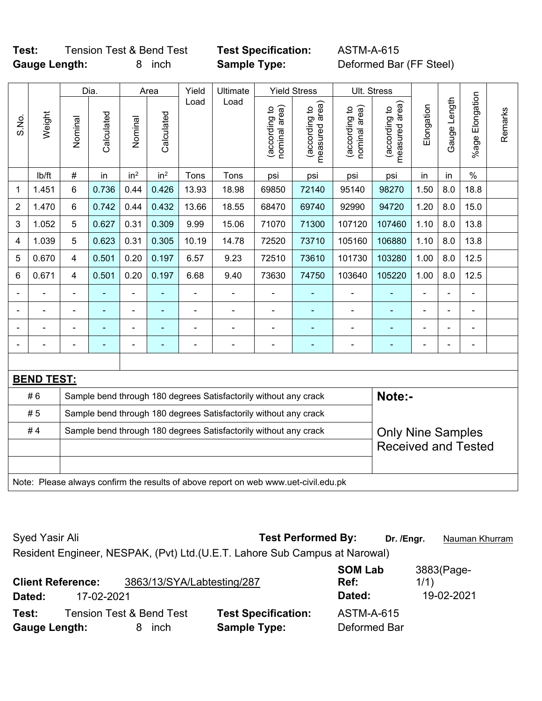# **Test:** Tension Test & Bend Test **Test Specification:** ASTM-A-615 **Gauge Length:** 8 inch **Sample Type:** Deformed Bar (FF Steel)

|                |                   |                | Yield<br>Ultimate<br><b>Yield Stress</b><br>Dia.<br>Area |                 |                 |                |                                                                                     |                                |                                             |                                |                                 |                |                |                              |         |
|----------------|-------------------|----------------|----------------------------------------------------------|-----------------|-----------------|----------------|-------------------------------------------------------------------------------------|--------------------------------|---------------------------------------------|--------------------------------|---------------------------------|----------------|----------------|------------------------------|---------|
| S.No.          | Weight            | Nominal        | Calculated                                               | Nominal         | Calculated      | Load           | Load                                                                                | nominal area)<br>(according to | (according to<br>neasured area)<br>measured | nominal area)<br>(according to | measured area)<br>(according to | Elongation     | Gauge Length   | %age Elongation              | Remarks |
|                | lb/ft             | #              | in                                                       | in <sup>2</sup> | in <sup>2</sup> | Tons           | Tons                                                                                | psi                            | psi                                         | psi                            | psi                             | in             | in             | $\%$                         |         |
| 1              | 1.451             | 6              | 0.736                                                    | 0.44            | 0.426           | 13.93          | 18.98                                                                               | 69850                          | 72140                                       | 95140                          | 98270                           | 1.50           | 8.0            | 18.8                         |         |
| $\overline{2}$ | 1.470             | 6              | 0.742                                                    | 0.44            | 0.432           | 13.66          | 18.55                                                                               | 68470                          | 69740                                       | 92990                          | 94720                           | 1.20           | 8.0            | 15.0                         |         |
| 3              | 1.052             | 5              | 0.627                                                    | 0.31            | 0.309           | 9.99           | 15.06                                                                               | 71070                          | 71300                                       | 107120                         | 107460                          | 1.10           | 8.0            | 13.8                         |         |
| 4              | 1.039             | 5              | 0.623                                                    | 0.31            | 0.305           | 10.19          | 14.78                                                                               | 72520                          | 73710                                       | 105160                         | 106880                          | 1.10           | 8.0            | 13.8                         |         |
| 5              | 0.670             | 4              | 0.501                                                    | 0.20            | 0.197           | 6.57           | 9.23                                                                                | 72510                          | 73610                                       | 101730                         | 103280                          | 1.00           | 8.0            | 12.5                         |         |
| 6              | 0.671             | 4              | 0.501                                                    | 0.20            | 0.197           | 6.68           | 9.40                                                                                | 73630                          | 74750                                       | 103640                         | 105220                          | 1.00           | 8.0            | 12.5                         |         |
|                | $\blacksquare$    | $\blacksquare$ | $\frac{1}{2}$                                            | $\overline{a}$  |                 | $\blacksquare$ | ä,                                                                                  | ä,                             |                                             | $\blacksquare$                 | ÷                               | ÷,             | ä,             | ÷,                           |         |
|                | ÷                 | $\blacksquare$ | ۰                                                        | ÷               | ۰               | $\blacksquare$ | ÷                                                                                   | $\overline{\phantom{a}}$       | $\blacksquare$                              | $\qquad \qquad \blacksquare$   | $\blacksquare$                  | -              | ÷,             | $\qquad \qquad \blacksquare$ |         |
|                | ä,                | $\blacksquare$ | $\blacksquare$                                           | ÷,              | $\blacksquare$  | $\blacksquare$ | ÷                                                                                   | Ē,                             | ٠                                           | $\blacksquare$                 | $\blacksquare$                  | $\blacksquare$ | $\blacksquare$ | $\blacksquare$               |         |
|                |                   |                | $\blacksquare$                                           | ÷,              |                 | $\blacksquare$ | ÷                                                                                   | Ē,                             | $\blacksquare$                              | $\blacksquare$                 | ÷,                              | -              |                | $\blacksquare$               |         |
|                |                   |                |                                                          |                 |                 |                |                                                                                     |                                |                                             |                                |                                 |                |                |                              |         |
|                | <b>BEND TEST:</b> |                |                                                          |                 |                 |                |                                                                                     |                                |                                             |                                |                                 |                |                |                              |         |
|                | #6                |                |                                                          |                 |                 |                | Sample bend through 180 degrees Satisfactorily without any crack                    |                                |                                             |                                | Note:-                          |                |                |                              |         |
|                | #5                |                |                                                          |                 |                 |                | Sample bend through 180 degrees Satisfactorily without any crack                    |                                |                                             |                                |                                 |                |                |                              |         |
|                | #4                |                |                                                          |                 |                 |                | Sample bend through 180 degrees Satisfactorily without any crack                    |                                |                                             |                                | <b>Only Nine Samples</b>        |                |                |                              |         |
|                |                   |                |                                                          |                 |                 |                |                                                                                     |                                |                                             |                                | <b>Received and Tested</b>      |                |                |                              |         |
|                |                   |                |                                                          |                 |                 |                |                                                                                     |                                |                                             |                                |                                 |                |                |                              |         |
|                |                   |                |                                                          |                 |                 |                | Note: Please always confirm the results of above report on web www.uet-civil.edu.pk |                                |                                             |                                |                                 |                |                |                              |         |

Syed Yasir Ali **Test Performed By:** Dr. /Engr. **Nauman Khurram** 

Resident Engineer, NESPAK, (Pvt) Ltd.(U.E.T. Lahore Sub Campus at Narowal)

| Dated:               | <b>Client Reference:</b><br>17-02-2021 | 3863/13/SYA/Labtesting/287          |                            | <b>SOM Lab</b><br>Ref:<br>Dated: | 3883(Page-<br>1/1)<br>19-02-2021 |
|----------------------|----------------------------------------|-------------------------------------|----------------------------|----------------------------------|----------------------------------|
| Test:                |                                        | <b>Tension Test &amp; Bend Test</b> | <b>Test Specification:</b> | <b>ASTM-A-615</b>                |                                  |
| <b>Gauge Length:</b> |                                        | <i>i</i> nch                        | <b>Sample Type:</b>        | Deformed Bar                     |                                  |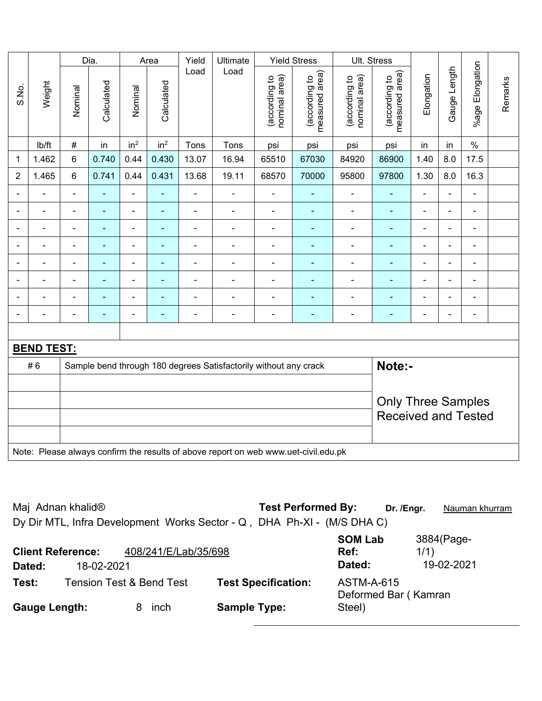|                            |                                                                                     |                | Dia.           |                 | Area            | Yield                    | Ultimate       |                                | <b>Yield Stress</b>             |                                | Ult. Stress                     |                |                          |                 |         |
|----------------------------|-------------------------------------------------------------------------------------|----------------|----------------|-----------------|-----------------|--------------------------|----------------|--------------------------------|---------------------------------|--------------------------------|---------------------------------|----------------|--------------------------|-----------------|---------|
| S.No.                      | Weight                                                                              | Nominal        | Calculated     | Nominal         | Calculated      | Load                     | Load           | nominal area)<br>(according to | (according to<br>measured area) | nominal area)<br>(according to | measured area)<br>(according to | Elongation     | Gauge Length             | %age Elongation | Remarks |
|                            | Ib/ft                                                                               | $\#$           | in             | in <sup>2</sup> | in <sup>2</sup> | Tons                     | Tons           | psi                            | psi                             | psi                            | psi                             | in             | in                       | $\frac{0}{0}$   |         |
| $\mathbf 1$                | 1.462                                                                               | 6              | 0.740          | 0.44            | 0.430           | 13.07                    | 16.94          | 65510                          | 67030                           | 84920                          | 86900                           | 1.40           | 8.0                      | 17.5            |         |
| $\overline{2}$             | 1.465                                                                               | 6              | 0.741          | 0.44            | 0.431           | 13.68                    | 19.11          | 68570                          | 70000                           | 95800                          | 97800                           | 1.30           | 8.0                      | 16.3            |         |
|                            |                                                                                     | $\blacksquare$ | $\blacksquare$ | $\blacksquare$  |                 |                          |                | $\blacksquare$                 | ۰                               | $\blacksquare$                 | L,                              |                | ÷                        | $\blacksquare$  |         |
|                            |                                                                                     | $\blacksquare$ | ä,             | $\blacksquare$  | ٠               | L,                       | ä,             | ä,                             | ä,                              | ÷,                             | ä,                              | $\blacksquare$ | L,                       | $\blacksquare$  |         |
| $\blacksquare$             | $\blacksquare$                                                                      | $\blacksquare$ | $\blacksquare$ | $\blacksquare$  | $\blacksquare$  | $\blacksquare$           | $\blacksquare$ | $\blacksquare$                 | ÷                               | ۰                              | ä,                              | $\overline{a}$ | $\overline{\phantom{a}}$ | $\blacksquare$  |         |
| $\blacksquare$             |                                                                                     | $\blacksquare$ | $\blacksquare$ | $\blacksquare$  | $\blacksquare$  | ä,                       | $\blacksquare$ | $\qquad \qquad \blacksquare$   | ÷                               | ۰                              | $\overline{a}$                  | $\blacksquare$ | -                        | $\blacksquare$  |         |
| $\blacksquare$             | $\blacksquare$                                                                      | $\blacksquare$ | $\blacksquare$ | $\blacksquare$  | $\blacksquare$  | $\blacksquare$           | $\blacksquare$ | $\blacksquare$                 | Ξ                               | ۰                              | L,                              | $\blacksquare$ | ä,                       | $\blacksquare$  |         |
| $\blacksquare$             | $\blacksquare$                                                                      | $\blacksquare$ | $\blacksquare$ | $\blacksquare$  | $\blacksquare$  | $\overline{a}$           | $\blacksquare$ | ä,                             | ÷                               | $\blacksquare$                 | ä,                              | $\blacksquare$ | $\blacksquare$           | ä,              |         |
|                            |                                                                                     | ä,             | $\blacksquare$ | $\blacksquare$  | ä,              | ä,                       | ä,             | $\blacksquare$                 | ÷                               | ۰                              | ä,                              | $\blacksquare$ | L,                       | $\blacksquare$  |         |
|                            |                                                                                     | $\blacksquare$ | ٠              | ÷,              | $\blacksquare$  | $\overline{\phantom{a}}$ | $\blacksquare$ | $\overline{a}$                 | ۰                               | ۰                              | ä,                              |                | ä,                       | $\blacksquare$  |         |
|                            |                                                                                     |                |                |                 |                 |                          |                |                                |                                 |                                |                                 |                |                          |                 |         |
|                            | <b>BEND TEST:</b>                                                                   |                |                |                 |                 |                          |                |                                |                                 |                                |                                 |                |                          |                 |         |
|                            | Note:-<br>Sample bend through 180 degrees Satisfactorily without any crack<br>#6    |                |                |                 |                 |                          |                |                                |                                 |                                |                                 |                |                          |                 |         |
|                            |                                                                                     |                |                |                 |                 |                          |                |                                |                                 |                                |                                 |                |                          |                 |         |
|                            | <b>Only Three Samples</b>                                                           |                |                |                 |                 |                          |                |                                |                                 |                                |                                 |                |                          |                 |         |
| <b>Received and Tested</b> |                                                                                     |                |                |                 |                 |                          |                |                                |                                 |                                |                                 |                |                          |                 |         |
|                            |                                                                                     |                |                |                 |                 |                          |                |                                |                                 |                                |                                 |                |                          |                 |         |
|                            | Note: Please always confirm the results of above report on web www.uet-civil.edu.pk |                |                |                 |                 |                          |                |                                |                                 |                                |                                 |                |                          |                 |         |

| Maj Adnan khalid <sup>®</sup>                                           | <b>Test Performed By:</b>                       | Dr. /Engr.<br>Nauman khurram |
|-------------------------------------------------------------------------|-------------------------------------------------|------------------------------|
| Dy Dir MTL, Infra Development Works Sector - Q, DHA Ph-XI - (M/S DHA C) |                                                 |                              |
| 408/241/E/Lab/35/698<br><b>Client Reference:</b>                        | <b>SOM Lab</b><br>Ref:                          | 3884(Page-<br>1/1)           |
| Dated:<br>18-02-2021                                                    | Dated:                                          | 19-02-2021                   |
| <b>Tension Test &amp; Bend Test</b><br>Test:                            | <b>Test Specification:</b><br><b>ASTM-A-615</b> | Deformed Bar (Kamran         |
| <b>Gauge Length:</b><br>inch<br>8.                                      | <b>Sample Type:</b><br>Steel)                   |                              |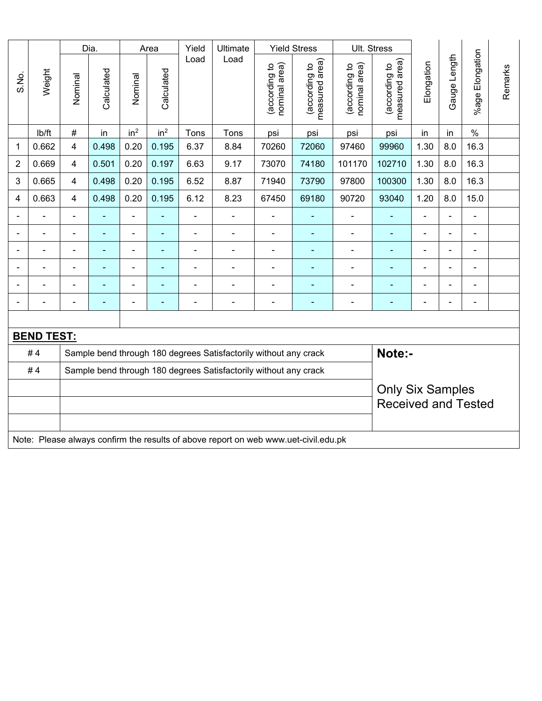|                |                                                                                     |                            | Dia.           |                 | Area                     | Yield          | Ultimate                                                         |                                | <b>Yield Stress</b>             |                                | Ult. Stress                     |                |                |                         |         |
|----------------|-------------------------------------------------------------------------------------|----------------------------|----------------|-----------------|--------------------------|----------------|------------------------------------------------------------------|--------------------------------|---------------------------------|--------------------------------|---------------------------------|----------------|----------------|-------------------------|---------|
| S.No.          | Weight                                                                              | Nominal                    | Calculated     | Nominal         | Calculated               | Load           | Load                                                             | nominal area)<br>(according to | (according to<br>measured area) | nominal area)<br>(according to | (according to<br>measured area) | Elongation     | Gauge Length   | Elongation<br>$%$ age I | Remarks |
|                | lb/ft                                                                               | $\#$                       | in             | in <sup>2</sup> | in <sup>2</sup>          | Tons           | Tons                                                             | psi                            | psi                             | psi                            | psi                             | in             | in             | $\%$                    |         |
| 1              | 0.662                                                                               | $\overline{4}$             | 0.498          | 0.20            | 0.195                    | 6.37           | 8.84                                                             | 70260                          | 72060                           | 97460                          | 99960                           | 1.30           | 8.0            | 16.3                    |         |
| $\overline{2}$ | 0.669                                                                               | 4                          | 0.501          | 0.20            | 0.197                    | 6.63           | 9.17                                                             | 73070                          | 74180                           | 101170                         | 102710                          | 1.30           | 8.0            | 16.3                    |         |
| 3              | 0.665                                                                               | 4                          | 0.498          | 0.20            | 0.195                    | 6.52           | 8.87                                                             | 71940                          | 73790                           | 97800                          | 100300                          | 1.30           | 8.0            | 16.3                    |         |
| 4              | 0.663                                                                               | $\overline{4}$             | 0.498          | 0.20            | 0.195                    | 6.12           | 8.23                                                             | 67450                          | 69180                           | 90720                          | 93040                           | 1.20           | 8.0            | 15.0                    |         |
|                | ÷.                                                                                  | $\blacksquare$             | ä,             | ÷,              | $\overline{\phantom{a}}$ | $\blacksquare$ | ä,                                                               | $\blacksquare$                 | ÷                               | $\blacksquare$                 | ä,                              | $\blacksquare$ | L.             | $\blacksquare$          |         |
|                | $\blacksquare$                                                                      |                            |                | ÷,              |                          | $\blacksquare$ | ÷,                                                               | $\blacksquare$                 | ÷                               | $\blacksquare$                 | ÷                               |                | ä,             | $\blacksquare$          |         |
|                | $\blacksquare$                                                                      |                            | $\blacksquare$ | ۰               |                          | $\overline{a}$ | $\blacksquare$                                                   | $\blacksquare$                 | ٠                               | $\blacksquare$                 | ٠                               |                | $\blacksquare$ | $\blacksquare$          |         |
|                | $\blacksquare$                                                                      | $\blacksquare$             | ۰              | ä,              |                          | $\blacksquare$ | $\blacksquare$                                                   | $\blacksquare$                 | ۰                               |                                | ۰                               |                | $\blacksquare$ | $\blacksquare$          |         |
|                | $\blacksquare$                                                                      |                            | ۰              | $\blacksquare$  |                          | Ē,             | ÷                                                                | $\blacksquare$                 | ۰                               | $\blacksquare$                 | ÷                               |                | Ē,             | $\blacksquare$          |         |
|                | $\blacksquare$                                                                      | $\blacksquare$             | ۰              | ۰               | $\overline{\phantom{0}}$ | $\blacksquare$ | ÷,                                                               | $\overline{a}$                 | $\blacksquare$                  | $\blacksquare$                 | ٠                               | $\blacksquare$ | $\blacksquare$ | $\blacksquare$          |         |
|                |                                                                                     |                            |                |                 |                          |                |                                                                  |                                |                                 |                                |                                 |                |                |                         |         |
|                | <b>BEND TEST:</b>                                                                   |                            |                |                 |                          |                |                                                                  |                                |                                 |                                |                                 |                |                |                         |         |
|                | #4                                                                                  |                            |                |                 |                          |                | Sample bend through 180 degrees Satisfactorily without any crack |                                |                                 |                                | Note:-                          |                |                |                         |         |
|                | #4<br>Sample bend through 180 degrees Satisfactorily without any crack              |                            |                |                 |                          |                |                                                                  |                                |                                 |                                |                                 |                |                |                         |         |
|                | <b>Only Six Samples</b>                                                             |                            |                |                 |                          |                |                                                                  |                                |                                 |                                |                                 |                |                |                         |         |
|                |                                                                                     | <b>Received and Tested</b> |                |                 |                          |                |                                                                  |                                |                                 |                                |                                 |                |                |                         |         |
|                |                                                                                     |                            |                |                 |                          |                |                                                                  |                                |                                 |                                |                                 |                |                |                         |         |
|                | Note: Please always confirm the results of above report on web www.uet-civil.edu.pk |                            |                |                 |                          |                |                                                                  |                                |                                 |                                |                                 |                |                |                         |         |